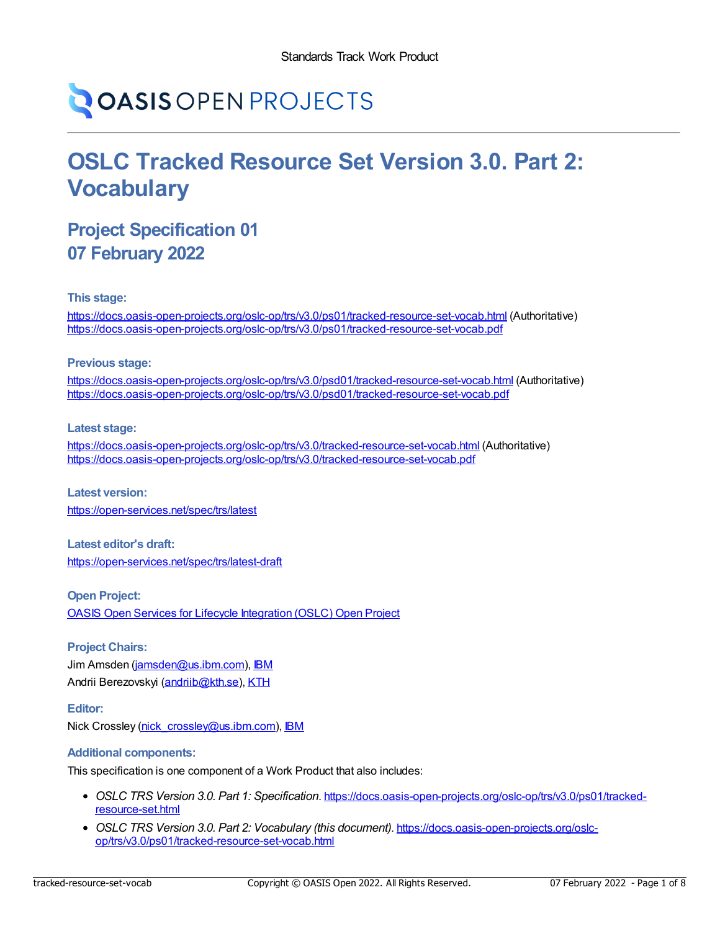# **OASIS OPEN PROJECTS**

## **OSLC Tracked Resource Set Version 3.0. Part 2: Vocabulary**

## **Project Specification 01 07 February 2022**

#### **This stage:**

<https://docs.oasis-open-projects.org/oslc-op/trs/v3.0/ps01/tracked-resource-set-vocab.html> (Authoritative) <https://docs.oasis-open-projects.org/oslc-op/trs/v3.0/ps01/tracked-resource-set-vocab.pdf>

#### **Previous stage:**

<https://docs.oasis-open-projects.org/oslc-op/trs/v3.0/psd01/tracked-resource-set-vocab.html> (Authoritative) <https://docs.oasis-open-projects.org/oslc-op/trs/v3.0/psd01/tracked-resource-set-vocab.pdf>

#### **Latest stage:**

<https://docs.oasis-open-projects.org/oslc-op/trs/v3.0/tracked-resource-set-vocab.html> (Authoritative) <https://docs.oasis-open-projects.org/oslc-op/trs/v3.0/tracked-resource-set-vocab.pdf>

**Latest version:** <https://open-services.net/spec/trs/latest>

**Latest editor's draft:** <https://open-services.net/spec/trs/latest-draft>

**Open Project:** OASIS Open Services for Lifecycle [Integration](https://open-services.net/about/) (OSLC) Open Project

#### **Project Chairs:**

Jim Amsden [\(jamsden@us.ibm.com\)](mailto:jamsden@us.ibm.com), [IBM](https://www.ibm.com/) Andrii Berezovskyi [\(andriib@kth.se](mailto:andriib@kth.se)), [KTH](https://www.kth.se/)

#### **Editor:**

Nick Crossley [\(nick\\_crossley@us.ibm.com](mailto:nick_crossley@us.ibm.com)), [IBM](http://www.ibm.com)

#### **Additional components:**

This specification is one component of a Work Product that also includes:

- *OSLC TRS Version 3.0. Part 1: Specification*. [https://docs.oasis-open-projects.org/oslc-op/trs/v3.0/ps01/tracked](https://docs.oasis-open-projects.org/oslc-op/trs/v3.0/ps01/tracked-resource-set.html)resource-set.html
- *OSLC TRS Version 3.0. Part 2: Vocabulary (this document)*. https://docs.oasis-open-projects.org/oslc[op/trs/v3.0/ps01/tracked-resource-set-vocab.html](https://docs.oasis-open-projects.org/oslc-op/trs/v3.0/ps01/tracked-resource-set-vocab.html)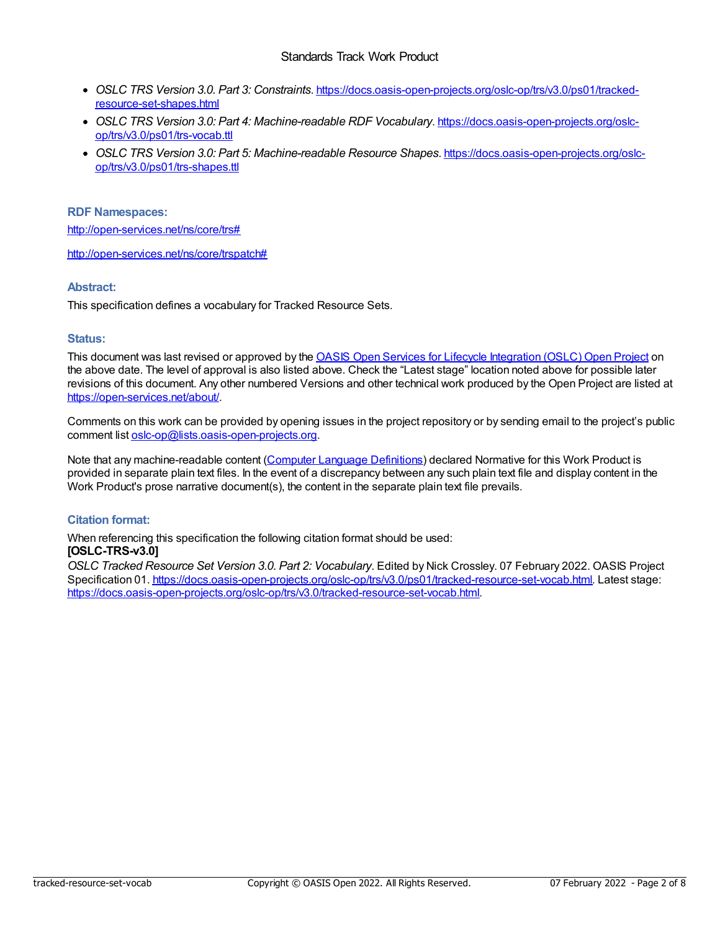#### Standards Track Work Product

- *OSLC TRS Version 3.0. Part 3: Constraints*. [https://docs.oasis-open-projects.org/oslc-op/trs/v3.0/ps01/tracked](https://docs.oasis-open-projects.org/oslc-op/trs/v3.0/ps01/tracked-resource-set-shapes.html)resource-set-shapes.html
- *OSLC TRS Version 3.0: Part 4: Machine-readable RDF Vocabulary*. [https://docs.oasis-open-projects.org/oslc](https://docs.oasis-open-projects.org/oslc-op/trs/v3.0/ps01/trs-vocab.ttl)op/trs/v3.0/ps01/trs-vocab.ttl
- *OSLC TRS Version 3.0: Part 5: Machine-readable Resource Shapes*. [https://docs.oasis-open-projects.org/oslc](https://docs.oasis-open-projects.org/oslc-op/trs/v3.0/ps01/trs-shapes.ttl)op/trs/v3.0/ps01/trs-shapes.ttl

#### **RDF Namespaces:**

<http://open-services.net/ns/core/trs#>

<http://open-services.net/ns/core/trspatch#>

#### **Abstract:**

This specification defines a vocabulary for Tracked Resource Sets.

#### **Status:**

This document was last revised or approved by the OASIS Open Services for Lifecycle [Integration](https://open-services.net/about/) (OSLC) Open Project on the above date. The level of approval is also listed above. Check the "Latest stage" location noted above for possible later revisions of this document. Any other numbered Versions and other technical work produced by the Open Project are listed at <https://open-services.net/about/>.

Comments on this work can be provided by opening issues in the project repository or by sending email to the project's public comment list [oslc-op@lists.oasis-open-projects.org](mailto:oslc-op@lists.oasis-open-projects.org).

Note that any machine-readable content (Computer Language [Definitions](https://www.oasis-open.org/policies-guidelines/tc-process-2017-05-26/#wpComponentsCompLang)) declared Normative for this Work Product is provided in separate plain text files. In the event of a discrepancy between any such plain text file and display content in the Work Product's prose narrative document(s), the content in the separate plain text file prevails.

#### **Citation format:**

When referencing this specification the following citation format should be used:

#### **[OSLC-TRS-v3.0]**

*OSLC Tracked Resource Set Version 3.0. Part 2: Vocabulary*. Edited by Nick Crossley. 07 February 2022. OASIS Project Specification 01. <https://docs.oasis-open-projects.org/oslc-op/trs/v3.0/ps01/tracked-resource-set-vocab.html>. Latest stage: <https://docs.oasis-open-projects.org/oslc-op/trs/v3.0/tracked-resource-set-vocab.html>.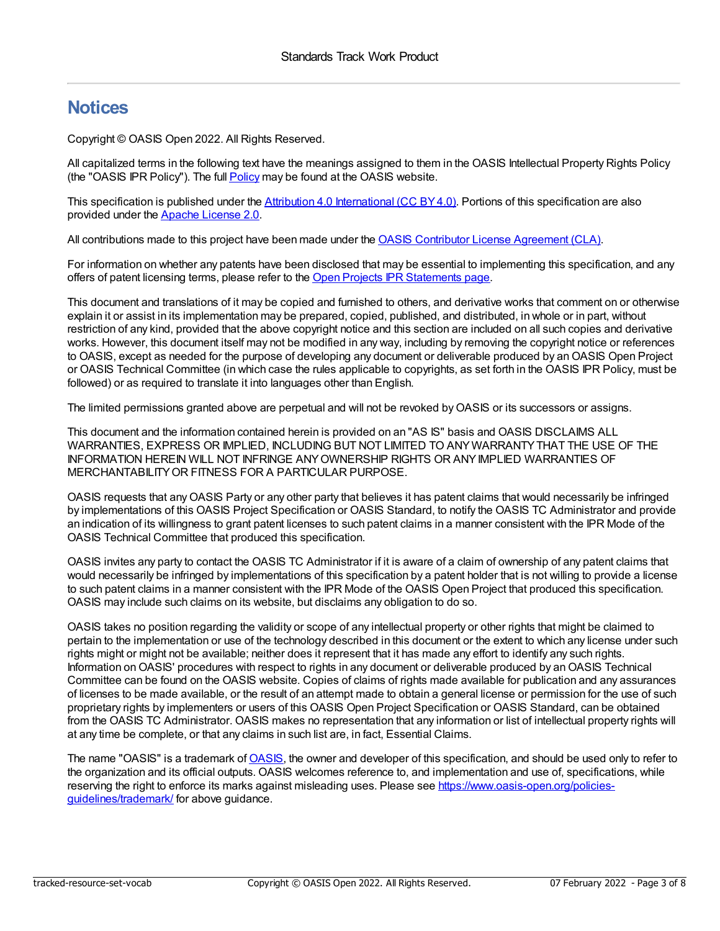### **Notices**

Copyright © OASIS Open 2022. All Rights Reserved.

All capitalized terms in the following text have the meanings assigned to them in the OASIS Intellectual Property Rights Policy (the "OASIS IPR Policy"). The full [Policy](https://www.oasis-open.org/policies-guidelines/ipr/) may be found at the OASIS website.

This specification is published under the Attribution 4.0 [International](https://creativecommons.org/licenses/by/4.0/legalcode) (CC BY4.0). Portions of this specification are also provided under the Apache [License](https://www.apache.org/licenses/LICENSE-2.0) 2.0.

All contributions made to this project have been made under the OASIS Contributor License [Agreement](https://www.oasis-open.org/policies-guidelines/open-projects-process#individual-cla-exhibit) (CLA).

For information on whether any patents have been disclosed that may be essential to implementing this specification, and any offers of patent licensing terms, please refer to the Open Projects IPR [Statements](https://github.com/oasis-open-projects/administration/blob/master/IPR_STATEMENTS.md#open-services-for-lifecycle-collaboration-oslc-open-project) page.

This document and translations of it may be copied and furnished to others, and derivative works that comment on or otherwise explain it or assist in its implementation may be prepared, copied, published, and distributed, in whole or in part, without restriction of any kind, provided that the above copyright notice and this section are included on all such copies and derivative works. However, this document itself may not be modified in any way, including by removing the copyright notice or references to OASIS, except as needed for the purpose of developing any document or deliverable produced by an OASIS Open Project or OASIS Technical Committee (in which case the rules applicable to copyrights, as set forth in the OASIS IPR Policy, must be followed) or as required to translate it into languages other than English.

The limited permissions granted above are perpetual and will not be revoked byOASIS or its successors or assigns.

This document and the information contained herein is provided on an "AS IS" basis and OASIS DISCLAIMS ALL WARRANTIES, EXPRESS OR IMPLIED, INCLUDING BUT NOT LIMITED TO ANYWARRANTYTHAT THE USE OF THE INFORMATION HEREIN WILL NOT INFRINGE ANYOWNERSHIP RIGHTS OR ANYIMPLIED WARRANTIES OF MERCHANTABILITYOR FITNESS FOR A PARTICULAR PURPOSE.

OASIS requests that anyOASIS Party or any other party that believes it has patent claims that would necessarily be infringed by implementations of this OASIS Project Specification or OASIS Standard, to notify the OASIS TC Administrator and provide an indication of its willingness to grant patent licenses to such patent claims in a manner consistent with the IPR Mode of the OASIS Technical Committee that produced this specification.

OASIS invites any party to contact the OASIS TC Administrator if it is aware of a claim of ownership of any patent claims that would necessarily be infringed by implementations of this specification by a patent holder that is not willing to provide a license to such patent claims in a manner consistent with the IPR Mode of the OASIS Open Project that produced this specification. OASIS may include such claims on its website, but disclaims any obligation to do so.

OASIS takes no position regarding the validity or scope of any intellectual property or other rights that might be claimed to pertain to the implementation or use of the technology described in this document or the extent to which any license under such rights might or might not be available; neither does it represent that it has made any effort to identify any such rights. Information on OASIS' procedures with respect to rights in any document or deliverable produced by an OASIS Technical Committee can be found on the OASIS website. Copies of claims of rights made available for publication and any assurances of licenses to be made available, or the result of an attempt made to obtain a general license or permission for the use of such proprietary rights by implementers or users of this OASIS Open Project Specification or OASIS Standard, can be obtained from the OASIS TC Administrator. OASIS makes no representation that any information or list of intellectual property rights will at any time be complete, or that any claims in such list are, in fact, Essential Claims.

The name "OASIS" is a trademark of [OASIS](https://www.oasis-open.org), the owner and developer of this specification, and should be used only to refer to the organization and its official outputs. OASIS welcomes reference to, and implementation and use of, specifications, while reserving the right to enforce its marks against misleading uses. Please see [https://www.oasis-open.org/policies](https://www.oasis-open.org/policies-guidelines/trademark/)guidelines/trademark/ for above guidance.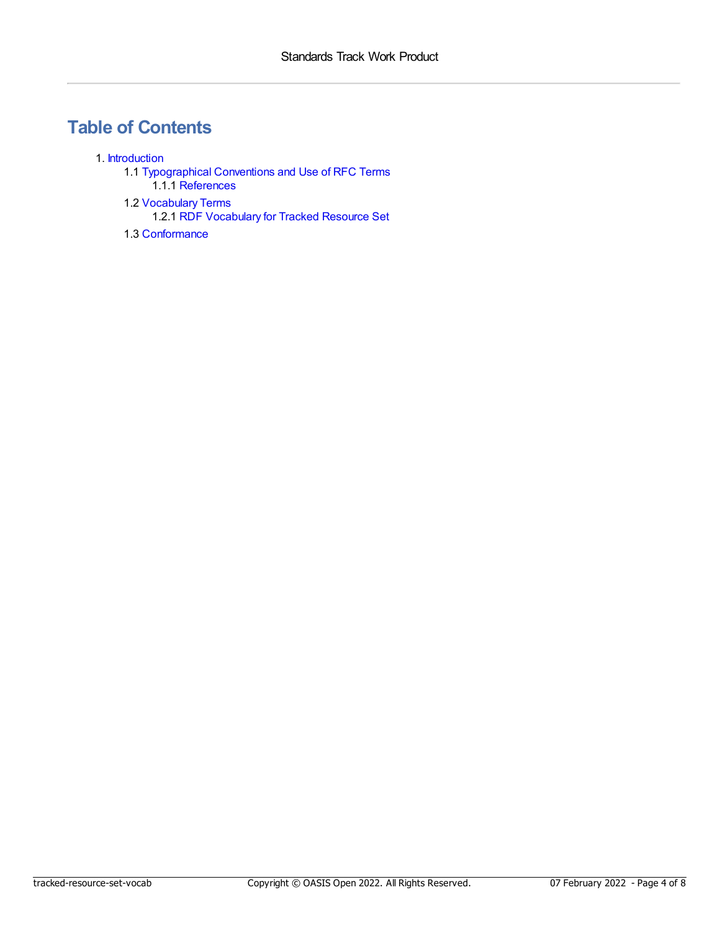## **Table of Contents**

1. [Introduction](#page-5-0)

- 1.1 [Typographical](#page-4-0) Conventions and Use of RFC Terms 1.1.1 [References](#page-4-1)
- 1.2 [Vocabulary](#page-6-0) Terms
	- 1.2.1 RDF [Vocabulary](#page-6-1) for Tracked Resource Set

1.3 [Conformance](#page-7-0)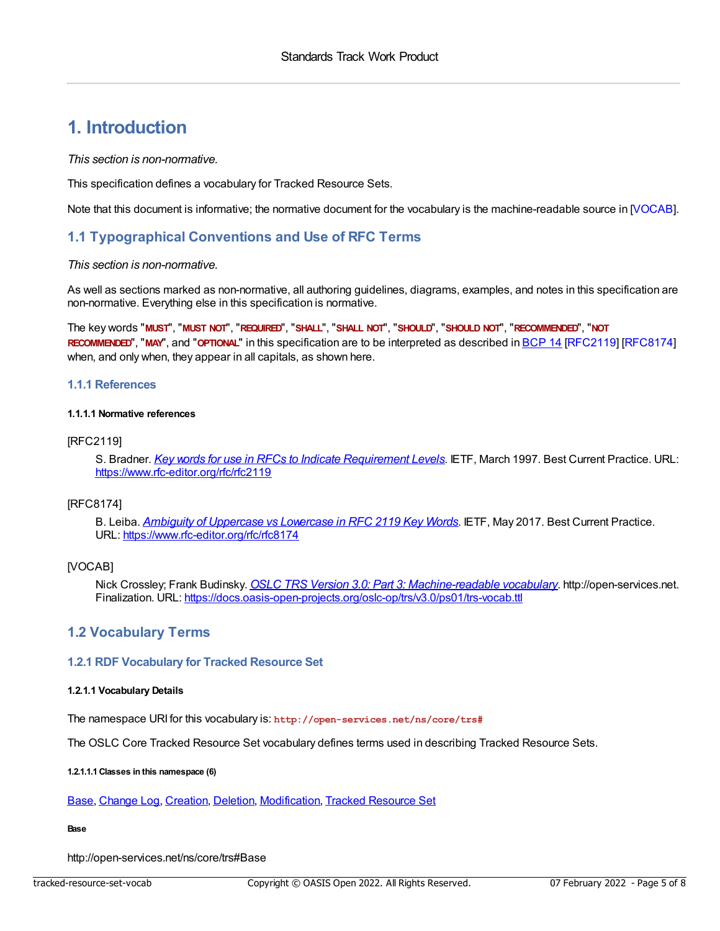## **1. Introduction**

#### *This section is non-normative.*

This specification defines a vocabulary for Tracked Resource Sets.

Note that this document is informative; the normative document for the vocabulary is the machine-readable source in [\[VOCAB](#page-4-2)].

#### <span id="page-4-0"></span>**1.1 Typographical Conventions and Use of RFC Terms**

#### *This section is non-normative.*

As well as sections marked as non-normative, all authoring guidelines, diagrams, examples, and notes in this specification are non-normative. Everything else in this specification is normative.

The key words "**MUST**", "**MUST NOT**", "**REQUIRED**", "**SHALL**", "**SHALL NOT**", "**SHOULD**", "**SHOULD NOT**", "**RECOMMENDED**", "**NOT RECOMMENDED**", "**MAY**", and "**OPTIONAL**" in this specification are to be interpreted as described in [BCP](https://tools.ietf.org/html/bcp14) 14 [\[RFC2119](#page-4-3)] [\[RFC8174](#page-4-4)] when, and only when, they appear in all capitals, as shown here.

#### <span id="page-4-1"></span>**1.1.1 References**

#### **1.1.1.1 Normative references**

#### <span id="page-4-3"></span>[RFC2119]

S. Bradner. *Key words for use in RFCs to Indicate [Requirement](https://www.rfc-editor.org/rfc/rfc2119) Levels*. IETF, March 1997. Best Current Practice. URL: <https://www.rfc-editor.org/rfc/rfc2119>

#### <span id="page-4-4"></span>[RFC8174]

B. Leiba. *Ambiguity of [Uppercase](https://www.rfc-editor.org/rfc/rfc8174) vs Lowercase in RFC 2119 Key Words*. IETF, May 2017. Best Current Practice. URL: <https://www.rfc-editor.org/rfc/rfc8174>

#### <span id="page-4-2"></span>[VOCAB]

Nick Crossley; Frank Budinsky. *OSLC TRS Version 3.0: Part 3: [Machine-readable](https://docs.oasis-open-projects.org/oslc-op/trs/v3.0/ps01/trs-vocab.ttl) vocabulary*. http://open-services.net. Finalization. URL: <https://docs.oasis-open-projects.org/oslc-op/trs/v3.0/ps01/trs-vocab.ttl>

#### **1.2 Vocabulary Terms**

#### **1.2.1 RDF Vocabulary for Tracked Resource Set**

#### **1.2.1.1 Vocabulary Details**

The namespace URI for this vocabulary is: **http://open-services.net/ns/core/trs#**

The OSLC Core Tracked Resource Set vocabulary defines terms used in describing Tracked Resource Sets.

#### **1.2.1.1.1Classes in this namespace (6)**

#### [Base](#page-4-5), [Change](#page-5-1) Log, [Creation](#page-5-2), [Deletion](#page-5-3), [Modification](#page-5-4), Tracked [Resource](#page-5-5) Set

#### <span id="page-4-5"></span>**Base**

http://open-services.net/ns/core/trs#Base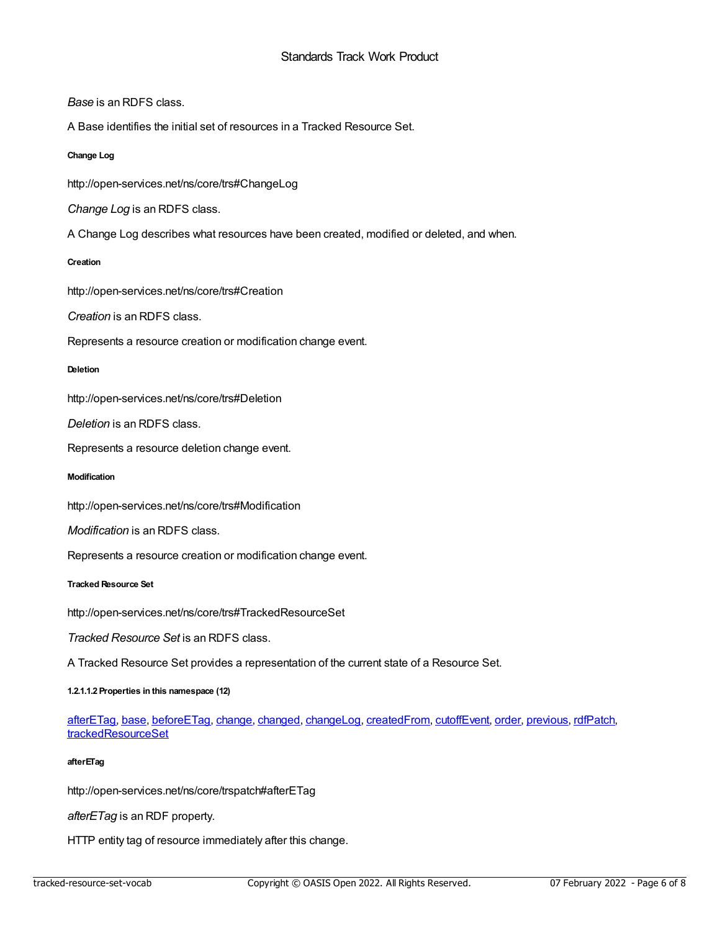<span id="page-5-0"></span>*Base* is an RDFS class.

A Base identifies the initial set of resources in a Tracked Resource Set.

#### <span id="page-5-1"></span>**Change Log**

http://open-services.net/ns/core/trs#ChangeLog

*Change Log* is an RDFS class.

A Change Log describes what resources have been created, modified or deleted, and when.

#### <span id="page-5-2"></span>**Creation**

http://open-services.net/ns/core/trs#Creation

*Creation* is an RDFS class.

Represents a resource creation or modification change event.

#### <span id="page-5-3"></span>**Deletion**

http://open-services.net/ns/core/trs#Deletion

*Deletion* is an RDFS class.

Represents a resource deletion change event.

#### <span id="page-5-4"></span>**Modification**

http://open-services.net/ns/core/trs#Modification

*Modification* is an RDFS class.

Represents a resource creation or modification change event.

#### <span id="page-5-5"></span>**Tracked Resource Set**

http://open-services.net/ns/core/trs#TrackedResourceSet

*Tracked Resource Set* is an RDFS class.

A Tracked Resource Set provides a representation of the current state of a Resource Set.

#### **1.2.1.1.2 Properties in this namespace (12)**

[afterETag](#page-5-6), [base](#page-6-2), [beforeETag](#page-6-3), [change](#page-6-4), [changed](#page-6-5), [changeLog](#page-6-6), [createdFrom](#page-6-7), [cutoffEvent](#page-6-8), [order](#page-6-9), [previous](#page-7-1), [rdfPatch](#page-7-2), [trackedResourceSet](#page-7-3)

#### <span id="page-5-6"></span>**afterETag**

http://open-services.net/ns/core/trspatch#afterETag

*afterETag* is an RDF property.

HTTP entity tag of resource immediately after this change.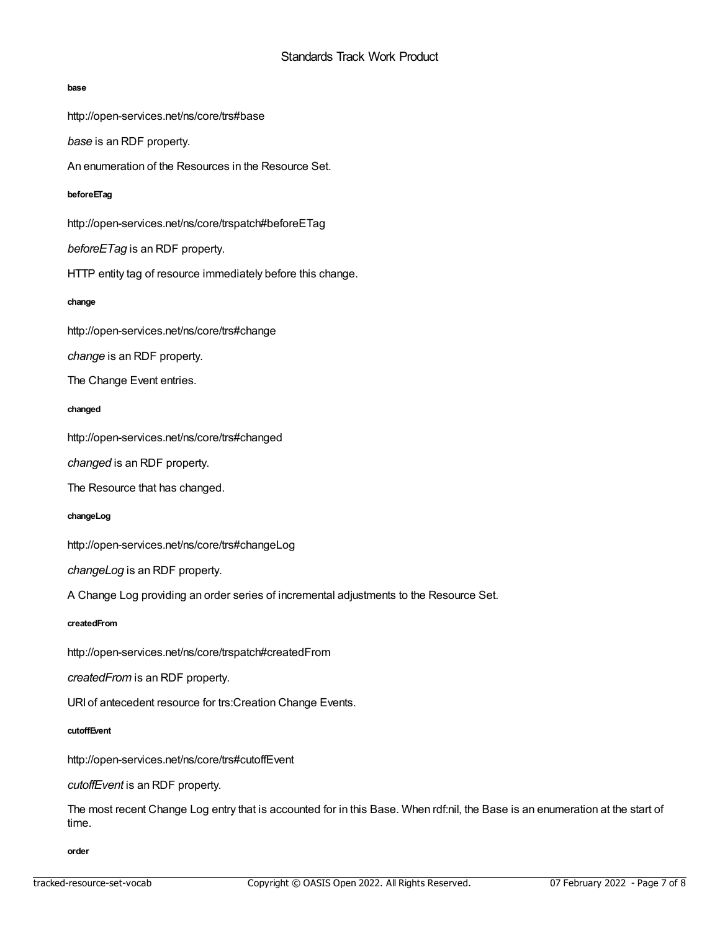<span id="page-6-9"></span><span id="page-6-8"></span><span id="page-6-7"></span><span id="page-6-6"></span><span id="page-6-5"></span><span id="page-6-4"></span><span id="page-6-3"></span><span id="page-6-2"></span><span id="page-6-1"></span><span id="page-6-0"></span>**base** http://open-services.net/ns/core/trs#base *base* is an RDF property. An enumeration of the Resources in the Resource Set. **beforeETag** http://open-services.net/ns/core/trspatch#beforeETag *beforeETag* is an RDF property. HTTP entity tag of resource immediately before this change. **change** http://open-services.net/ns/core/trs#change *change* is an RDF property. The Change Event entries. **changed** http://open-services.net/ns/core/trs#changed *changed* is an RDF property. The Resource that has changed. **changeLog** http://open-services.net/ns/core/trs#changeLog *changeLog* is an RDF property. A Change Log providing an order series of incremental adjustments to the Resource Set. **createdFrom** http://open-services.net/ns/core/trspatch#createdFrom *createdFrom* is an RDF property. URI of antecedent resource for trs:Creation Change Events. **cutoffEvent** http://open-services.net/ns/core/trs#cutoffEvent *cutoffEvent* is an RDF property. The most recent Change Log entry that is accounted for in this Base. When rdf:nil, the Base is an enumeration at the start of time. **order**